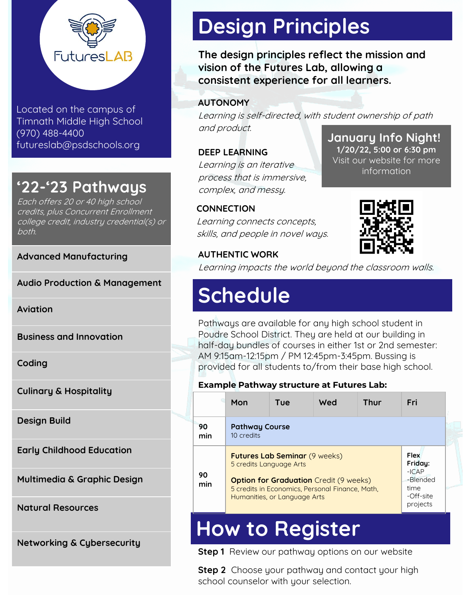

Located on the campus of Timnath Middle High School (970) 488-4400 futureslab@psdschools.org

## **'22-'23 Pathways**

Each offers 20 or 40 high school credits, plus Concurrent Enrollment college credit, industry credential(s) or both.

**Advanced Manufacturing**

**Audio Production & Management** 

**Aviation**

**Business and Innovation**

**Coding**

**Culinary & Hospitality**

**Design Build**

**Early Childhood Education**

**Multimedia & Graphic Design**

**Natural Resources**

**Networking & Cybersecurity**

# **Design Principles**

**The design principles reflect the mission and vision of the Futures Lab, allowing a consistent experience for all learners.**

**AUTONOMY**

**January Info Night!** Learning is self-directed, with student ownership of path and product.

**DEEP LEARNING** Learning is an iterative process that is immersive, complex, and messy.

### **CONNECTION** Learning connects concepts, skills, and people in novel ways.

### **AUTHENTIC WORK**

Learning impacts the world beyond the classroom walls.

# **Schedule**

Pathways are available for any high school student in Poudre School District. They are held at our building in half-day bundles of courses in either 1st or 2nd semester: AM 9:15am-12:15pm / PM 12:45pm-3:45pm. Bussing is provided for all students to/from their base high school.

### **Example Pathway structure at Futures Lab:**

|           | Mon                                                                                                                                                                                                                                                                       | Tue | Wed | <b>Thur</b> | Fri      |
|-----------|---------------------------------------------------------------------------------------------------------------------------------------------------------------------------------------------------------------------------------------------------------------------------|-----|-----|-------------|----------|
| 90<br>min | <b>Pathway Course</b><br>10 credits                                                                                                                                                                                                                                       |     |     |             |          |
| 90<br>min | <b>Flex</b><br><b>Futures Lab Seminar (9 weeks)</b><br>Friday:<br>5 credits Language Arts<br>$-ICAP$<br><b>Option for Graduation</b> Credit (9 weeks)<br>time<br>5 credits in Economics, Personal Finance, Math.<br>-Off-site<br>Humanities, or Language Arts<br>projects |     |     |             | -Blended |
|           |                                                                                                                                                                                                                                                                           |     |     |             |          |

# **How to Register**

**Step 1** Review our pathway options on our website

**Step 2** Choose your pathway and contact your high school counselor with your selection.



**1/20/22, 5:00 or 6:30 pm** Visit our website for more information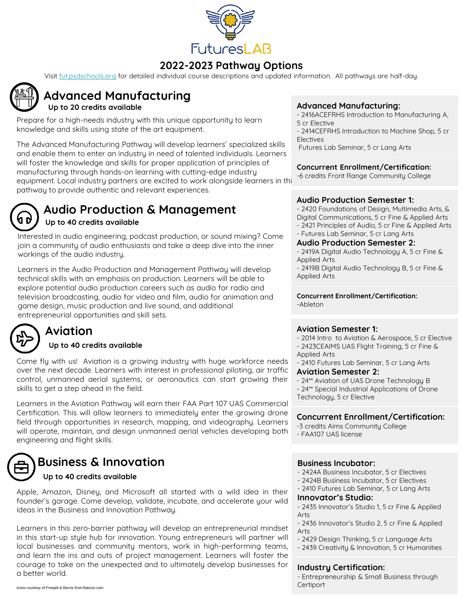

### **2022-2023 Pathway Options**

Visit [fut.psdschools.org](http://fut.psdschools.org) for detailed individual course descriptions and updated information. All pathways are half-day.



## **Advanced Manufacturing**

Prepare for a high-needs industry with this unique opportunity to learn knowledge and skills using state of the art equipment.

The Advanced Manufacturing Pathway will develop learners' specialized skills and enable them to enter an industry in need of talented individuals. Learners will foster the knowledge and skills for proper application of principles of manufacturing through hands-on learning with cutting-edge industry equipment. Local industry partners are excited to work alongside learners in this pathway to provide authentic and relevant experiences.



## **Audio Production & Management**

### **Up to 40 credits available**

Interested in audio engineering, podcast production, or sound mixing? Come join a community of audio enthusiasts and take a deep dive into the inner workings of the audio industry.

Learners in the Audio Production and Management Pathway will develop technical skills with an emphasis on production. Learners will be able to explore potential audio production careers such as audio for radio and television broadcasting, audio for video and film, audio for animation and game design, music production and live sound, and additional entrepreneurial opportunities and skill sets.



### **Aviation**

### **Up to 40 credits available**

Come fly with us! Aviation is a growing industry with huge workforce needs over the next decade. Learners with interest in professional piloting, air traffic control, unmanned aerial systems, or aeronautics can start growing their skills to get a step ahead in the field.

Learners in the Aviation Pathway will earn their FAA Part 107 UAS Commercial Certification. This will allow learners to immediately enter the growing drone field through opportunities in research, mapping, and videography. Learners will operate, maintain, and design unmanned aerial vehicles developing both engineering and flight skills.



### **Business & Innovation**

### **Up to 40 credits available**

Apple, Amazon, Disney, and Microsoft all started with a wild idea in their founder's garage. Come develop, validate, incubate, and accelerate your wild ideas in the Business and Innovation Pathway.

Learners in this zero-barrier pathway will develop an entrepreneurial mindset in this start-up style hub for innovation. Young entrepreneurs will partner will local businesses and community mentors, work in high-performing teams, and learn the ins and outs of project management. Learners will foster the courage to take on the unexpected and to ultimately develop businesses for a better world.

#### Icons courtesy of Freepik & Becris from flaticon.com

### Up to 20 credits available *Advanced Manufacturing:*

- 2416ACEFRHS Introduction to Manufacturing A, 5 cr Elective
- 2414CEFRHS Introduction to Machine Shop, 5 cr Electives

Futures Lab Seminar, 5 cr Lang Arts

### **Concurrent Enrollment/Certification:**

-6 credits Front Range Community College

### **Audio Production Semester 1:**

- 2420 Foundations of Design, Multimedia Arts, & Digital Communications, 5 cr Fine & Applied Arts

- 2421 Principles of Audio, 5 cr Fine & Applied Arts
- Futures Lab Seminar, 5 cr Lang Arts

### **Audio Production Semester 2:**

- 2419A Digital Audio Technology A, 5 cr Fine & Applied Arts
- 2419B Digital Audio Technology B, 5 cr Fine & Applied Arts

**Concurrent Enrollment/Certification:** -Ableton

#### **Aviation Semester 1:**

- 2014 Intro to Aviation & Aerospace, 5 cr Elective
- 2423CEAIMS UAS Flight Training, 5 cr Fine & Applied Arts
- 2410 Futures Lab Seminar, 5 cr Lang Arts
- **Aviation Semester 2:**
- 24\*\* Aviation of UAS Drone Technology B - 24\*\* Special Industrial Applications of Drone
- Technology, 5 cr Elective

### **Concurrent Enrollment/Certification:**

- -3 credits Aims Community College
- FAA107 UAS license

### **Business Incubator:**

- 2424A Business Incubator, 5 cr Electives
- 2424B Business Incubator, 5 cr Electives
- 2410 Futures Lab Seminar, 5 cr Lang Arts

#### **Innovator's Studio:**

- 2435 Innovator's Studio 1, 5 cr Fine & Applied Arts
- 2436 Innovator's Studio 2, 5 cr Fine & Applied Arts
- 2429 Design Thinking, 5 cr Language Arts
- 2439 Creativity & Innovation, 5 cr Humanities

### **Industry Certification:**

- Entrepreneurship & Small Business through **Certiport**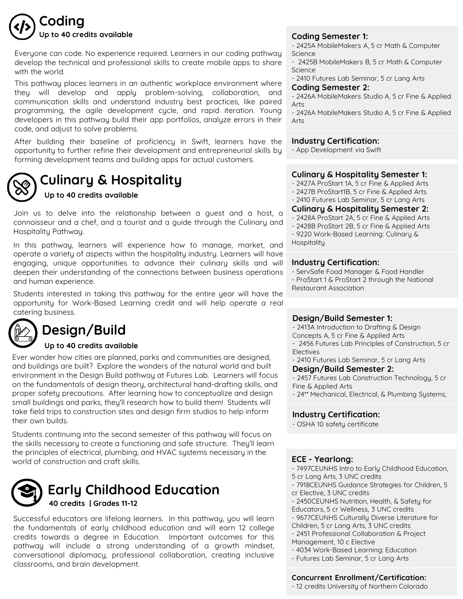

Everyone can code. No experience required. Learners in our coding pathway develop the technical and professional skills to create mobile apps to share with the world.

This pathway places learners in an authentic workplace environment where they will develop and apply problem-solving, collaboration, and communication skills and understand industry best practices, like paired programming, the agile development cycle, and rapid iteration. Young developers in this pathway build their app portfolios, analyze errors in their code, and adjust to solve problems.

After building their baseline of proficiency in Swift, learners have the opportunity to further refine their development and entrepreneurial skills by forming development teams and building apps for actual customers.



## **Culinary & Hospitality**

### **Up to 40 credits available**

Join us to delve into the relationship between a guest and a host, a connoisseur and a chef, and a tourist and a guide through the Culinary and Hospitality Pathway.

In this pathway, learners will experience how to manage, market, and operate a variety of aspects within the hospitality industry. Learners will have engaging, unique opportunities to advance their culinary skills and will deepen their understanding of the connections between business operations and human experience.

Students interested in taking this pathway for the entire year will have the opportunity for Work-Based Learning credit and will help operate a real catering business.

## **Design/Build**

### **Up to 40 credits available**

Ever wonder how cities are planned, parks and communities are designed, and buildings are built? Explore the wonders of the natural world and built environment in the Design Build pathway at Futures Lab. Learners will focus on the fundamentals of design theory, architectural hand-drafting skills, and proper safety precautions. After learning how to conceptualize and design small buildings and parks, they'll research how to build them! Students will take field trips to construction sites and design firm studios to help inform their own builds.

Students continuing into the second semester of this pathway will focus on the skills necessary to create a functioning and safe structure. They'll learn the principles of electrical, plumbing, and HVAC systems necessary in the world of construction and craft skills.



### **Early Childhood Education 40 credits | Grades 11-12**

Successful educators are lifelong learners. In this pathway, you will learn the fundamentals of early childhood education and will earn 12 college credits towards a degree in Education. Important outcomes for this pathway will include a strong understanding of a growth mindset, conversational diplomacy, professional collaboration, creating inclusive classrooms, and brain development.

- 2425A MobileMakers A, 5 cr Math & Computer Science

- 2425B MobileMakers B, 5 cr Math & Computer Science

- 2410 Futures Lab Seminar, 5 cr Lang Arts

#### **Coding Semester 2:**

- 2426A MobileMakers Studio A, 5 cr Fine & Applied Arts

- 2426A MobileMakers Studio A, 5 cr Fine & Applied Arts

### **Industry Certification:**

- App Development via Swift

#### **Culinary & Hospitality Semester 1:**

- 2427A ProStart 1A, 5 cr Fine & Applied Arts

- 2427B ProStart1B, 5 cr Fine & Applied Arts
- 2410 Futures Lab Seminar, 5 cr Lang Arts

#### **Culinary & Hospitality Semester 2:**

- 2428A ProStart 2A, 5 cr Fine & Applied Arts

- 2428B ProStart 2B, 5 cr Fine & Applied Arts

- 9220 Work-Based Learning: Culinary & **Hospitality** 

#### **Industry Certification:**

- ServSafe Food Manager & Food Handler

- ProStart 1 & ProStart 2 through the National Restaurant Association

### **Design/Build Semester 1:**

- 2413A Introduction to Drafting & Design Concepts A, 5 cr Fine & Applied Arts

- 2456 Futures Lab Principles of Construction, 5 cr Electives

- 2410 Futures Lab Seminar, 5 cr Lang Arts

#### **Design/Build Semester 2:**

- 2457 Futures Lab Construction Technology, 5 cr Fine & Applied Arts

- 24\*\* Mechanical, Electrical, & Plumbing Systems,

### **Industry Certification:**

- OSHA 10 safety certificate

### **ECE - Yearlong:**

- 7497CEUNHS Intro to Early Childhood Education,

- 5 cr Lang Arts, 3 UNC credits
- 7918CEUNHS Guidance Strategies for Children, 5 cr Elective, 3 UNC credits
- 2450CEUNHS Nutrition, Health, & Safety for
- Educators, 5 cr Wellness, 3 UNC credits
- 9677CEUNHS Culturally Diverse Literature for
- Children, 5 cr Lang Arts, 3 UNC credits
- 2451 Professional Collaboration & Project
- Management, 10 c Elective
- 4034 Work-Based Learning: Education
- Futures Lab Seminar, 5 cr Lang Arts

#### **Concurrent Enrollment/Certification:**

- 12 credits University of Northern Colorado